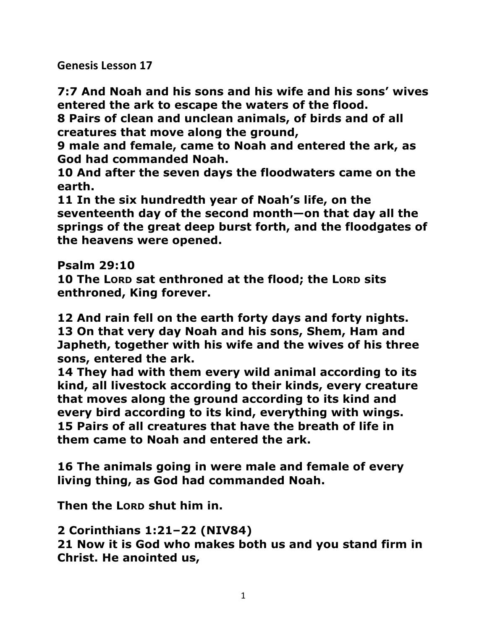**Genesis Lesson 17** 

**7:7 And Noah and his sons and his wife and his sons' wives entered the ark to escape the waters of the flood.** 

**8 Pairs of clean and unclean animals, of birds and of all creatures that move along the ground,** 

**9 male and female, came to Noah and entered the ark, as God had commanded Noah.** 

**10 And after the seven days the floodwaters came on the earth.** 

**11 In the six hundredth year of Noah's life, on the seventeenth day of the second month—on that day all the springs of the great deep burst forth, and the floodgates of the heavens were opened.** 

**Psalm 29:10** 

**10 The LORD sat enthroned at the flood; the LORD sits enthroned, King forever.** 

**12 And rain fell on the earth forty days and forty nights. 13 On that very day Noah and his sons, Shem, Ham and Japheth, together with his wife and the wives of his three sons, entered the ark.** 

**14 They had with them every wild animal according to its kind, all livestock according to their kinds, every creature that moves along the ground according to its kind and every bird according to its kind, everything with wings. 15 Pairs of all creatures that have the breath of life in them came to Noah and entered the ark.** 

**16 The animals going in were male and female of every living thing, as God had commanded Noah.**

**Then the LORD shut him in.** 

**2 Corinthians 1:21–22 (NIV84)** 

**21 Now it is God who makes both us and you stand firm in Christ. He anointed us,**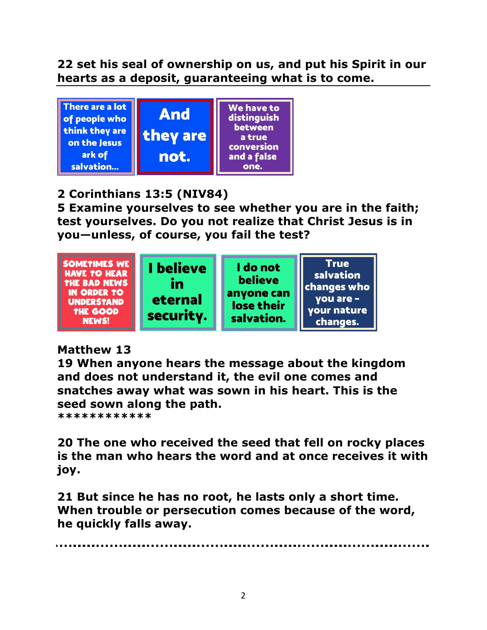**22 set his seal of ownership on us, and put his Spirit in our hearts as a deposit, guaranteeing what is to come.** 



# **2 Corinthians 13:5 (NIV84)**

**5 Examine yourselves to see whether you are in the faith; test yourselves. Do you not realize that Christ Jesus is in you—unless, of course, you fail the test?** 



# **Matthew 13**

**19 When anyone hears the message about the kingdom and does not understand it, the evil one comes and snatches away what was sown in his heart. This is the seed sown along the path.** 

**\*\*\*\*\*\*\*\*\*\*\*\***

**20 The one who received the seed that fell on rocky places is the man who hears the word and at once receives it with joy.** 

**21 But since he has no root, he lasts only a short time. When trouble or persecution comes because of the word, he quickly falls away.**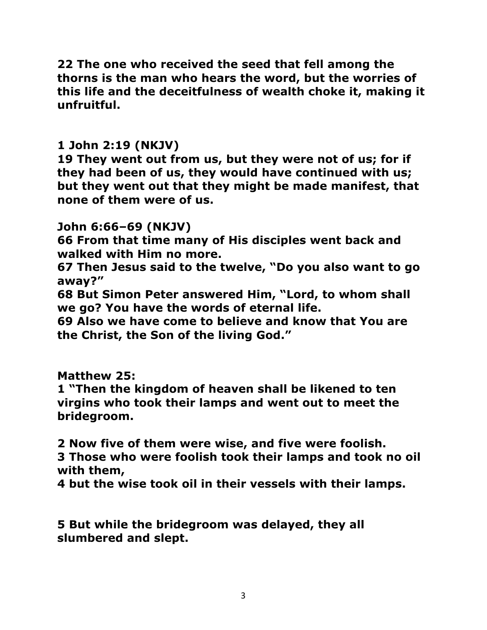**22 The one who received the seed that fell among the thorns is the man who hears the word, but the worries of this life and the deceitfulness of wealth choke it, making it unfruitful.** 

#### **1 John 2:19 (NKJV)**

**19 They went out from us, but they were not of us; for if they had been of us, they would have continued with us; but they went out that they might be made manifest, that none of them were of us.** 

### **John 6:66–69 (NKJV)**

**66 From that time many of His disciples went back and walked with Him no more.** 

**67 Then Jesus said to the twelve, "Do you also want to go away?"** 

**68 But Simon Peter answered Him, "Lord, to whom shall we go? You have the words of eternal life.** 

**69 Also we have come to believe and know that You are the Christ, the Son of the living God."** 

### **Matthew 25:**

**1 "Then the kingdom of heaven shall be likened to ten virgins who took their lamps and went out to meet the bridegroom.** 

**2 Now five of them were wise, and five were foolish.** 

**3 Those who were foolish took their lamps and took no oil with them,** 

**4 but the wise took oil in their vessels with their lamps.** 

**5 But while the bridegroom was delayed, they all slumbered and slept.**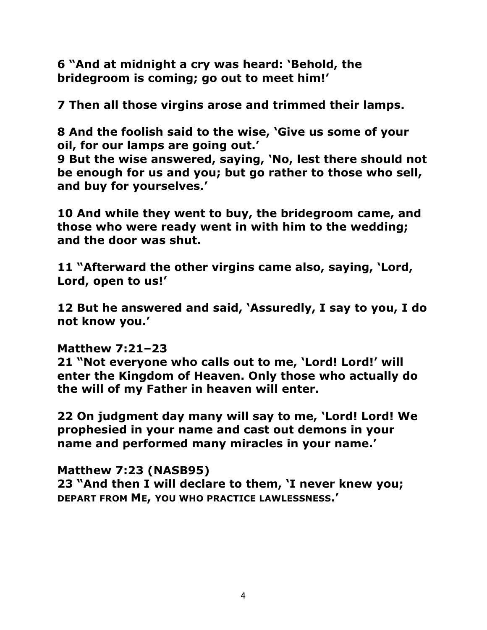**6 "And at midnight a cry was heard: 'Behold, the bridegroom is coming; go out to meet him!'** 

**7 Then all those virgins arose and trimmed their lamps.** 

**8 And the foolish said to the wise, 'Give us some of your oil, for our lamps are going out.'** 

**9 But the wise answered, saying, 'No, lest there should not be enough for us and you; but go rather to those who sell, and buy for yourselves.'** 

**10 And while they went to buy, the bridegroom came, and those who were ready went in with him to the wedding; and the door was shut.** 

**11 "Afterward the other virgins came also, saying, 'Lord, Lord, open to us!'** 

**12 But he answered and said, 'Assuredly, I say to you, I do not know you.'** 

### **Matthew 7:21–23**

**21 "Not everyone who calls out to me, 'Lord! Lord!' will enter the Kingdom of Heaven. Only those who actually do the will of my Father in heaven will enter.** 

**22 On judgment day many will say to me, 'Lord! Lord! We prophesied in your name and cast out demons in your name and performed many miracles in your name.'** 

**Matthew 7:23 (NASB95)** 

**23 "And then I will declare to them, 'I never knew you; DEPART FROM ME, YOU WHO PRACTICE LAWLESSNESS.'**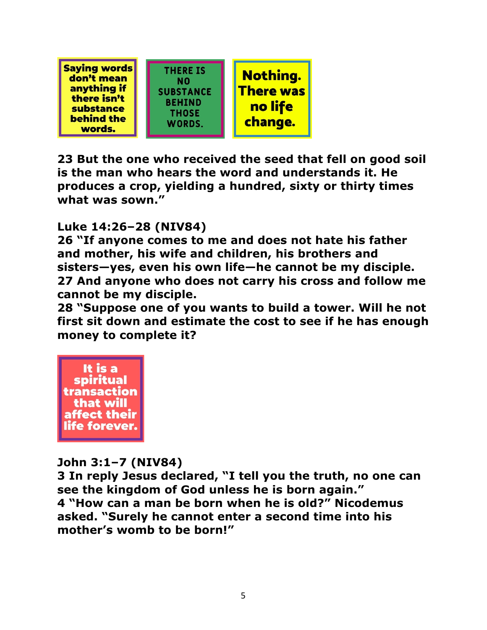

**23 But the one who received the seed that fell on good soil is the man who hears the word and understands it. He produces a crop, yielding a hundred, sixty or thirty times what was sown."** 

## **Luke 14:26–28 (NIV84)**

**26 "If anyone comes to me and does not hate his father and mother, his wife and children, his brothers and sisters—yes, even his own life—he cannot be my disciple. 27 And anyone who does not carry his cross and follow me cannot be my disciple.** 

**28 "Suppose one of you wants to build a tower. Will he not first sit down and estimate the cost to see if he has enough money to complete it?** 



### **John 3:1–7 (NIV84)**

**3 In reply Jesus declared, "I tell you the truth, no one can see the kingdom of God unless he is born again." 4 "How can a man be born when he is old?" Nicodemus asked. "Surely he cannot enter a second time into his mother's womb to be born!"**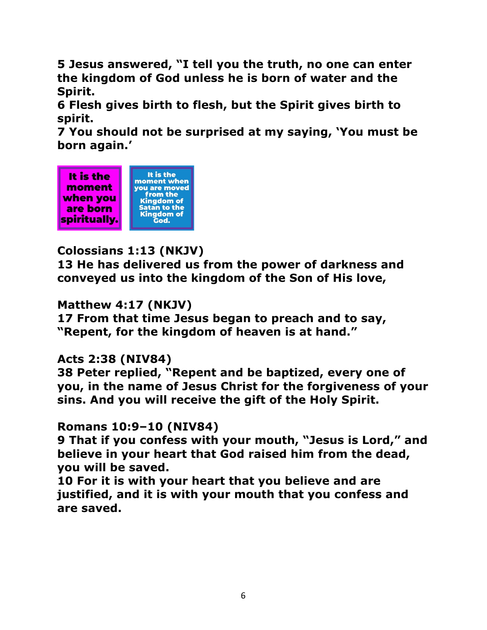**5 Jesus answered, "I tell you the truth, no one can enter the kingdom of God unless he is born of water and the Spirit.** 

**6 Flesh gives birth to flesh, but the Spirit gives birth to spirit.** 

**7 You should not be surprised at my saying, 'You must be born again.'** 



# **Colossians 1:13 (NKJV)**

**13 He has delivered us from the power of darkness and conveyed us into the kingdom of the Son of His love,** 

### **Matthew 4:17 (NKJV)**

**17 From that time Jesus began to preach and to say, "Repent, for the kingdom of heaven is at hand."** 

### **Acts 2:38 (NIV84)**

**38 Peter replied, "Repent and be baptized, every one of you, in the name of Jesus Christ for the forgiveness of your sins. And you will receive the gift of the Holy Spirit.** 

### **Romans 10:9–10 (NIV84)**

**9 That if you confess with your mouth, "Jesus is Lord," and believe in your heart that God raised him from the dead, you will be saved.** 

**10 For it is with your heart that you believe and are justified, and it is with your mouth that you confess and are saved.**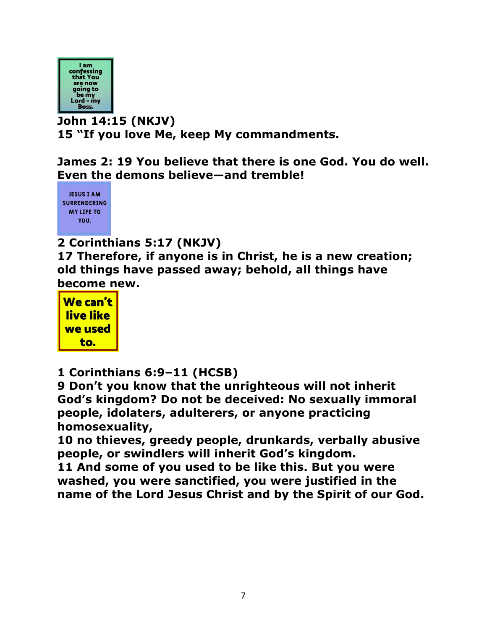

**John 14:15 (NKJV) 15 "If you love Me, keep My commandments.** 

**James 2: 19 You believe that there is one God. You do well. Even the demons believe—and tremble!** 



## **2 Corinthians 5:17 (NKJV)**

**17 Therefore, if anyone is in Christ, he is a new creation; old things have passed away; behold, all things have become new.** 



**1 Corinthians 6:9–11 (HCSB)** 

**9 Don't you know that the unrighteous will not inherit God's kingdom? Do not be deceived: No sexually immoral people, idolaters, adulterers, or anyone practicing homosexuality,** 

**10 no thieves, greedy people, drunkards, verbally abusive people, or swindlers will inherit God's kingdom.** 

**11 And some of you used to be like this. But you were washed, you were sanctified, you were justified in the name of the Lord Jesus Christ and by the Spirit of our God.**